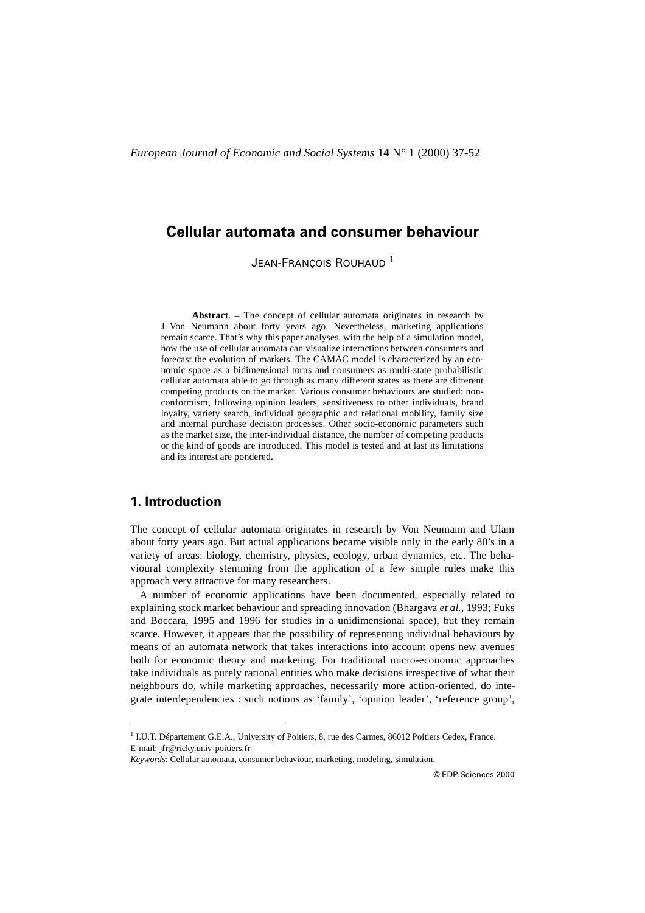# **Cellular automata and consumer behaviour**

JEAN-FRANÇOIS ROUHAUD<sup>1</sup>

**Abstract**. – The concept of cellular automata originates in research by J. Von Neumann about forty years ago. Nevertheless, marketing applications remain scarce. That's why this paper analyses, with the help of a simulation model, how the use of cellular automata can visualize interactions between consumers and forecast the evolution of markets. The CAMAC model is characterized by an economic space as a bidimensional torus and consumers as multi-state probabilistic cellular automata able to go through as many different states as there are different competing products on the market. Various consumer behaviours are studied: nonconformism, following opinion leaders, sensitiveness to other individuals, brand loyalty, variety search, individual geographic and relational mobility, family size and internal purchase decision processes. Other socio-economic parameters such as the market size, the inter-individual distance, the number of competing products or the kind of goods are introduced. This model is tested and at last its limitations and its interest are pondered.

# **1. Introduction**

The concept of cellular automata originates in research by Von Neumann and Ulam about forty years ago. But actual applications became visible only in the early 80's in a variety of areas: biology, chemistry, physics, ecology, urban dynamics, etc. The behavioural complexity stemming from the application of a few simple rules make this approach very attractive for many researchers.

A number of economic applications have been documented, especially related to explaining stock market behaviour and spreading innovation (Bhargava *et al.*, 1993; Fuks and Boccara, 1995 and 1996 for studies in a unidimensional space), but they remain scarce. However, it appears that the possibility of representing individual behaviours by means of an automata network that takes interactions into account opens new avenues both for economic theory and marketing. For traditional micro-economic approaches take individuals as purely rational entities who make decisions irrespective of what their neighbours do, while marketing approaches, necessarily more action-oriented, do integrate interdependencies : such notions as 'family', 'opinion leader', 'reference group',

<sup>&</sup>lt;sup>1</sup> I.U.T. Département G.E.A., University of Poitiers, 8, rue des Carmes, 86012 Poitiers Cedex, France. E-mail: jfr@ricky.univ-poitiers.fr

*Keywords*: Cellular automata, consumer behaviour, marketing, modeling, simulation.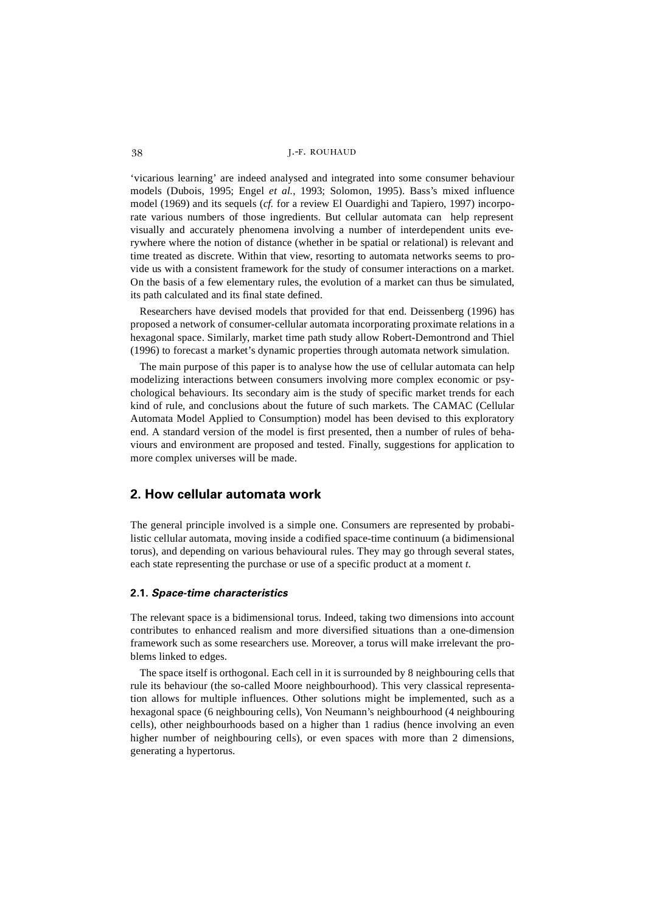'vicarious learning' are indeed analysed and integrated into some consumer behaviour models (Dubois, 1995; Engel *et al.*, 1993; Solomon, 1995). Bass's mixed influence model (1969) and its sequels (*cf.* for a review El Ouardighi and Tapiero, 1997) incorporate various numbers of those ingredients. But cellular automata can help represent visually and accurately phenomena involving a number of interdependent units everywhere where the notion of distance (whether in be spatial or relational) is relevant and time treated as discrete. Within that view, resorting to automata networks seems to provide us with a consistent framework for the study of consumer interactions on a market. On the basis of a few elementary rules, the evolution of a market can thus be simulated, its path calculated and its final state defined.

Researchers have devised models that provided for that end. Deissenberg (1996) has proposed a network of consumer-cellular automata incorporating proximate relations in a hexagonal space. Similarly, market time path study allow Robert-Demontrond and Thiel (1996) to forecast a market's dynamic properties through automata network simulation.

The main purpose of this paper is to analyse how the use of cellular automata can help modelizing interactions between consumers involving more complex economic or psychological behaviours. Its secondary aim is the study of specific market trends for each kind of rule, and conclusions about the future of such markets. The CAMAC (Cellular Automata Model Applied to Consumption) model has been devised to this exploratory end. A standard version of the model is first presented, then a number of rules of behaviours and environment are proposed and tested. Finally, suggestions for application to more complex universes will be made.

## **2. How cellular automata work**

The general principle involved is a simple one. Consumers are represented by probabilistic cellular automata, moving inside a codified space-time continuum (a bidimensional torus), and depending on various behavioural rules. They may go through several states, each state representing the purchase or use of a specific product at a moment *t*.

## **2.1.** *Space-time characteristics*

The relevant space is a bidimensional torus. Indeed, taking two dimensions into account contributes to enhanced realism and more diversified situations than a one-dimension framework such as some researchers use. Moreover, a torus will make irrelevant the problems linked to edges.

The space itself is orthogonal. Each cell in it is surrounded by 8 neighbouring cells that rule its behaviour (the so-called Moore neighbourhood). This very classical representation allows for multiple influences. Other solutions might be implemented, such as a hexagonal space (6 neighbouring cells), Von Neumann's neighbourhood (4 neighbouring cells), other neighbourhoods based on a higher than 1 radius (hence involving an even higher number of neighbouring cells), or even spaces with more than 2 dimensions, generating a hypertorus.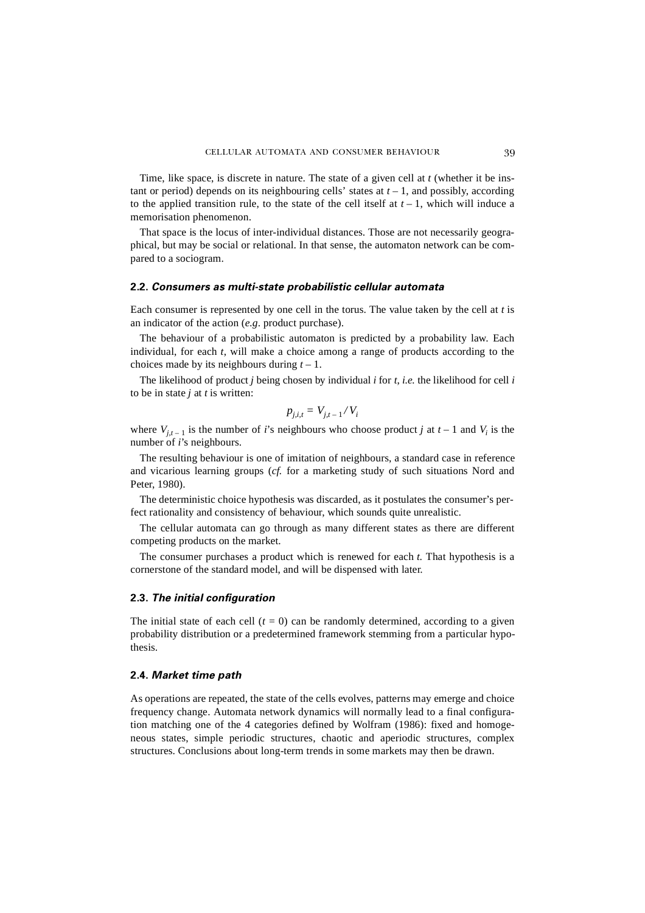Time, like space, is discrete in nature. The state of a given cell at *t* (whether it be instant or period) depends on its neighbouring cells' states at  $t - 1$ , and possibly, according to the applied transition rule, to the state of the cell itself at  $t-1$ , which will induce a memorisation phenomenon.

That space is the locus of inter-individual distances. Those are not necessarily geographical, but may be social or relational. In that sense, the automaton network can be compared to a sociogram.

#### **2.2.** *Consumers as multi-state probabilistic cellular automata*

Each consumer is represented by one cell in the torus. The value taken by the cell at *t* is an indicator of the action (*e.g*. product purchase).

The behaviour of a probabilistic automaton is predicted by a probability law. Each individual, for each *t*, will make a choice among a range of products according to the choices made by its neighbours during *t –* 1.

The likelihood of product *j* being chosen by individual *i* for *t*, *i.e.* the likelihood for cell *i* to be in state *j* at *t* is written:

$$
p_{j,i,t} = V_{j,t-1} / V_i
$$

where  $V_{j,t-1}$  is the number of *i*'s neighbours who choose product *j* at  $t-1$  and  $V_i$  is the number of *i*'s neighbours.

The resulting behaviour is one of imitation of neighbours, a standard case in reference and vicarious learning groups (*cf.* for a marketing study of such situations Nord and Peter, 1980).

The deterministic choice hypothesis was discarded, as it postulates the consumer's perfect rationality and consistency of behaviour, which sounds quite unrealistic.

The cellular automata can go through as many different states as there are different competing products on the market.

The consumer purchases a product which is renewed for each *t*. That hypothesis is a cornerstone of the standard model, and will be dispensed with later.

#### **2.3.** *The initial configuration*

The initial state of each cell  $(t = 0)$  can be randomly determined, according to a given probability distribution or a predetermined framework stemming from a particular hypothesis.

#### **2.4.** *Market time path*

As operations are repeated, the state of the cells evolves, patterns may emerge and choice frequency change. Automata network dynamics will normally lead to a final configuration matching one of the 4 categories defined by Wolfram (1986): fixed and homogeneous states, simple periodic structures, chaotic and aperiodic structures, complex structures. Conclusions about long-term trends in some markets may then be drawn.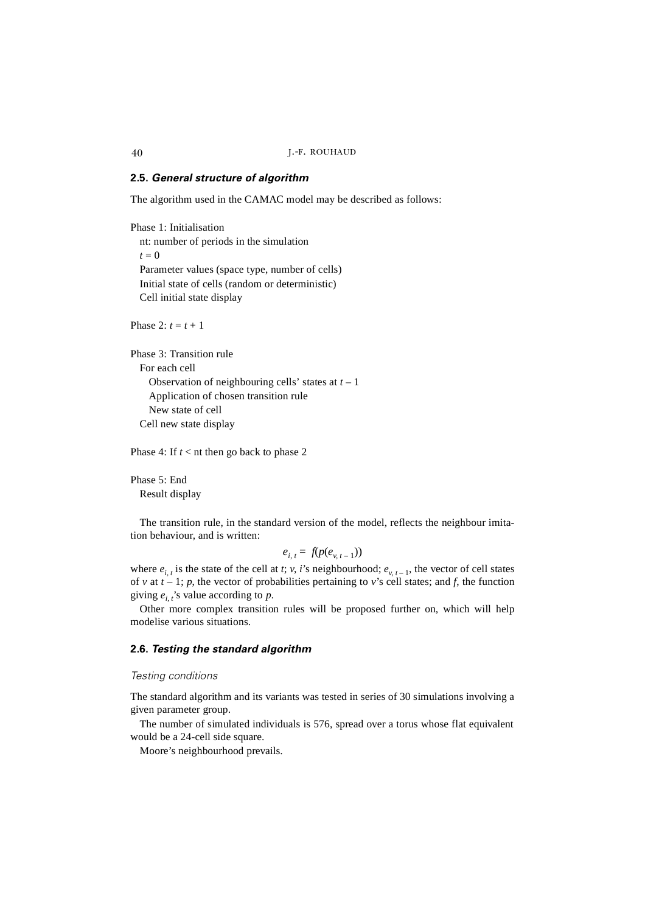#### **2.5.** *General structure of algorithm*

The algorithm used in the CAMAC model may be described as follows:

Phase 1: Initialisation nt: number of periods in the simulation  $t = 0$ Parameter values (space type, number of cells) Initial state of cells (random or deterministic) Cell initial state display

Phase  $2 \cdot t = t + 1$ 

Phase 3: Transition rule For each cell Observation of neighbouring cells' states at *t* – 1 Application of chosen transition rule New state of cell Cell new state display

Phase 4: If *t* < nt then go back to phase 2

Phase 5: End Result display

The transition rule, in the standard version of the model, reflects the neighbour imitation behaviour, and is written:

$$
e_{i, t} = f(p(e_{v, t-1}))
$$

where  $e_{i,t}$  is the state of the cell at *t*; *v*, *i*'s neighbourhood;  $e_{v,t-1}$ , the vector of cell states of *v* at  $t - 1$ ;  $p$ , the vector of probabilities pertaining to *v*'s cell states; and  $f$ , the function giving  $e_{i,t}$ 's value according to p.

Other more complex transition rules will be proposed further on, which will help modelise various situations.

#### **2.6.** *Testing the standard algorithm*

#### *Testing conditions*

The standard algorithm and its variants was tested in series of 30 simulations involving a given parameter group.

The number of simulated individuals is 576, spread over a torus whose flat equivalent would be a 24-cell side square.

Moore's neighbourhood prevails.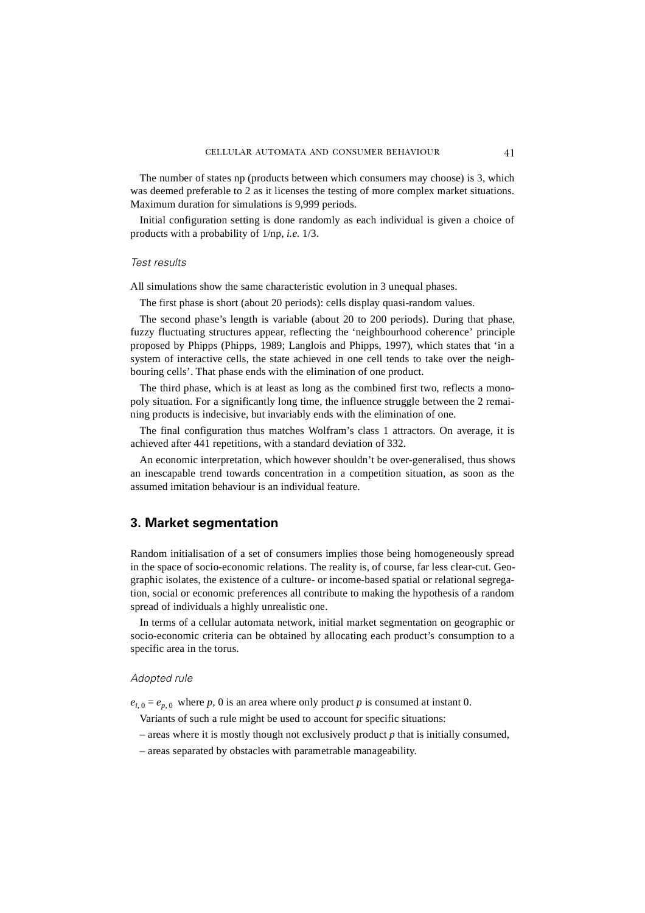The number of states np (products between which consumers may choose) is 3, which was deemed preferable to 2 as it licenses the testing of more complex market situations. Maximum duration for simulations is 9,999 periods.

Initial configuration setting is done randomly as each individual is given a choice of products with a probability of 1/np, *i.e.* 1/3.

#### *Test results*

All simulations show the same characteristic evolution in 3 unequal phases.

The first phase is short (about 20 periods): cells display quasi-random values.

The second phase's length is variable (about 20 to 200 periods). During that phase, fuzzy fluctuating structures appear, reflecting the 'neighbourhood coherence' principle proposed by Phipps (Phipps, 1989; Langlois and Phipps, 1997), which states that 'in a system of interactive cells, the state achieved in one cell tends to take over the neighbouring cells'. That phase ends with the elimination of one product.

The third phase, which is at least as long as the combined first two, reflects a monopoly situation. For a significantly long time, the influence struggle between the 2 remaining products is indecisive, but invariably ends with the elimination of one.

The final configuration thus matches Wolfram's class 1 attractors. On average, it is achieved after 441 repetitions, with a standard deviation of 332.

An economic interpretation, which however shouldn't be over-generalised, thus shows an inescapable trend towards concentration in a competition situation, as soon as the assumed imitation behaviour is an individual feature.

# **3. Market segmentation**

Random initialisation of a set of consumers implies those being homogeneously spread in the space of socio-economic relations. The reality is, of course, far less clear-cut. Geographic isolates, the existence of a culture- or income-based spatial or relational segregation, social or economic preferences all contribute to making the hypothesis of a random spread of individuals a highly unrealistic one.

In terms of a cellular automata network, initial market segmentation on geographic or socio-economic criteria can be obtained by allocating each product's consumption to a specific area in the torus.

#### *Adopted rule*

 $e_{i,0} = e_{p,0}$  where *p*, 0 is an area where only product *p* is consumed at instant 0.

Variants of such a rule might be used to account for specific situations:

- areas where it is mostly though not exclusively product *p* that is initially consumed,
- areas separated by obstacles with parametrable manageability.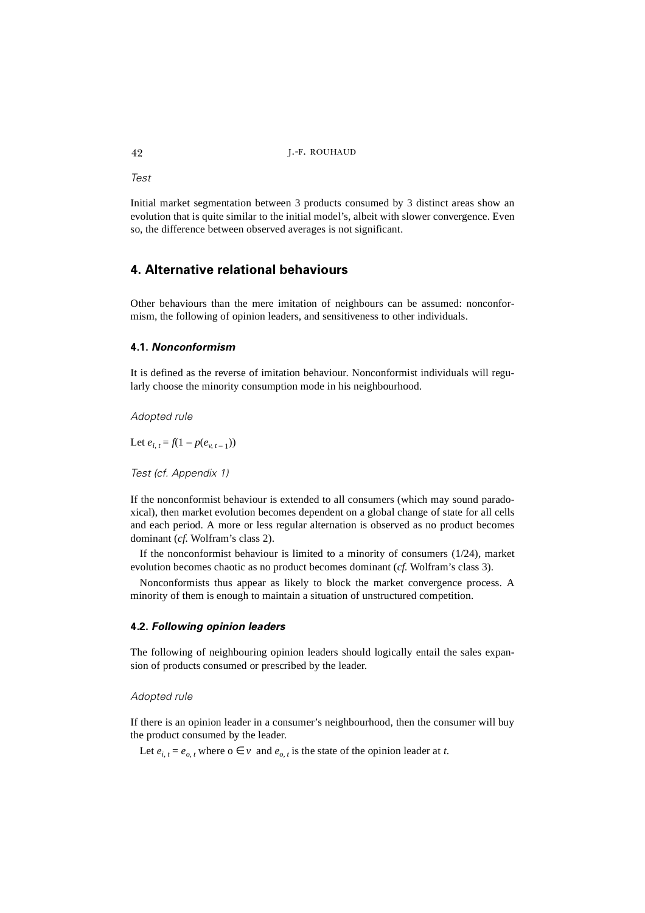*Test*

Initial market segmentation between 3 products consumed by 3 distinct areas show an evolution that is quite similar to the initial model's, albeit with slower convergence. Even so, the difference between observed averages is not significant.

# **4. Alternative relational behaviours**

Other behaviours than the mere imitation of neighbours can be assumed: nonconformism, the following of opinion leaders, and sensitiveness to other individuals.

## **4.1.** *Nonconformism*

It is defined as the reverse of imitation behaviour. Nonconformist individuals will regularly choose the minority consumption mode in his neighbourhood.

*Adopted rule*

Let  $e_{i, t} = f(1 - p(e_{v, t-1}))$ 

*Test (cf. Appendix 1)*

If the nonconformist behaviour is extended to all consumers (which may sound paradoxical), then market evolution becomes dependent on a global change of state for all cells and each period. A more or less regular alternation is observed as no product becomes dominant (*cf.* Wolfram's class 2).

If the nonconformist behaviour is limited to a minority of consumers (1/24), market evolution becomes chaotic as no product becomes dominant (*cf.* Wolfram's class 3).

Nonconformists thus appear as likely to block the market convergence process. A minority of them is enough to maintain a situation of unstructured competition.

## **4.2.** *Following opinion leaders*

The following of neighbouring opinion leaders should logically entail the sales expansion of products consumed or prescribed by the leader.

*Adopted rule*

If there is an opinion leader in a consumer's neighbourhood, then the consumer will buy the product consumed by the leader.

Let  $e_{i,t} = e_{o,t}$  where  $o \in v$  and  $e_{o,t}$  is the state of the opinion leader at *t*.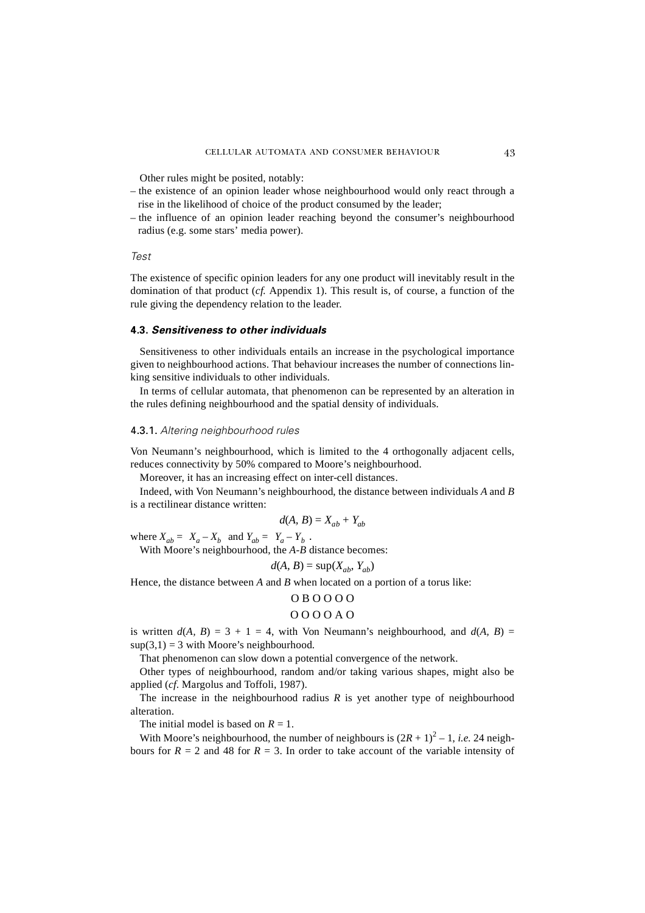Other rules might be posited, notably:

- the existence of an opinion leader whose neighbourhood would only react through a rise in the likelihood of choice of the product consumed by the leader;
- the influence of an opinion leader reaching beyond the consumer's neighbourhood radius (e.g. some stars' media power).

#### *Test*

The existence of specific opinion leaders for any one product will inevitably result in the domination of that product (*cf.* Appendix 1). This result is, of course, a function of the rule giving the dependency relation to the leader.

#### **4.3.** *Sensitiveness to other individuals*

Sensitiveness to other individuals entails an increase in the psychological importance given to neighbourhood actions. That behaviour increases the number of connections linking sensitive individuals to other individuals.

In terms of cellular automata, that phenomenon can be represented by an alteration in the rules defining neighbourhood and the spatial density of individuals.

#### 4.3.1. *Altering neighbourhood rules*

Von Neumann's neighbourhood, which is limited to the 4 orthogonally adjacent cells, reduces connectivity by 50% compared to Moore's neighbourhood.

Moreover, it has an increasing effect on inter-cell distances.

Indeed, with Von Neumann's neighbourhood, the distance between individuals *A* and *B* is a rectilinear distance written:

$$
d(A, B) = X_{ab} + Y_{ab}
$$

where  $X_{ab} = |X_a - X_b|$  and  $Y_{ab} = |Y_a - Y_b|$ .

With Moore's neighbourhood, the *A-B* distance becomes:

$$
d(A, B) = \sup(X_{ab}, Y_{ab})
$$

Hence, the distance between *A* and *B* when located on a portion of a torus like:

#### O B O O O O

#### O O O O A O

is written  $d(A, B) = 3 + 1 = 4$ , with Von Neumann's neighbourhood, and  $d(A, B) =$  $\sup(3,1) = 3$  with Moore's neighbourhood.

That phenomenon can slow down a potential convergence of the network.

Other types of neighbourhood, random and/or taking various shapes, might also be applied (*cf*. Margolus and Toffoli, 1987).

The increase in the neighbourhood radius  $R$  is yet another type of neighbourhood alteration.

The initial model is based on  $R = 1$ .

With Moore's neighbourhood, the number of neighbours is  $(2R + 1)^2 - 1$ , *i.e.* 24 neighbours for  $R = 2$  and 48 for  $R = 3$ . In order to take account of the variable intensity of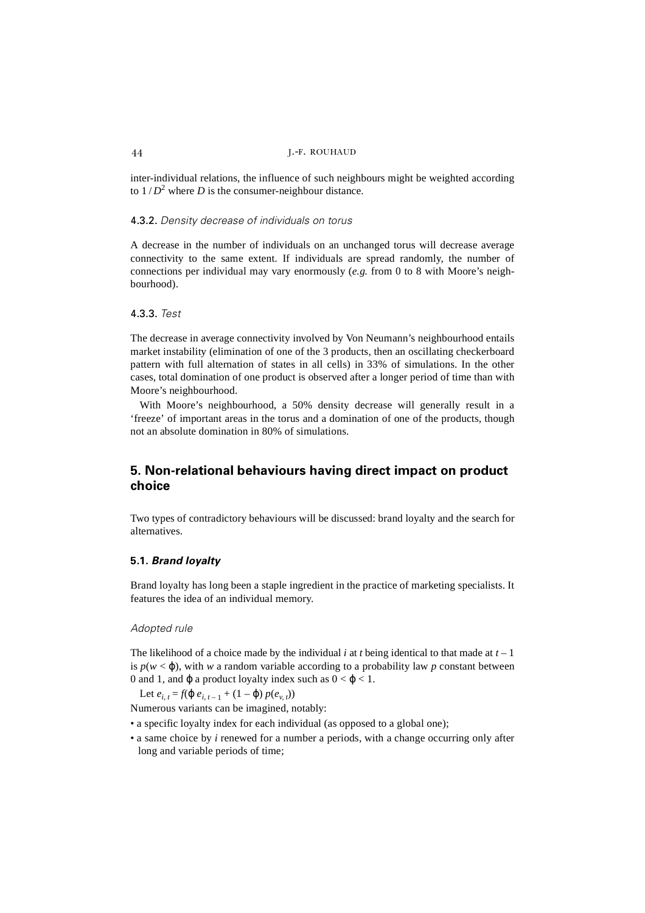inter-individual relations, the influence of such neighbours might be weighted according to  $1/D^2$  where *D* is the consumer-neighbour distance.

## 4.3.2. *Density decrease of individuals on torus*

A decrease in the number of individuals on an unchanged torus will decrease average connectivity to the same extent. If individuals are spread randomly, the number of connections per individual may vary enormously (*e.g.* from 0 to 8 with Moore's neighbourhood).

### 4.3.3. *Test*

The decrease in average connectivity involved by Von Neumann's neighbourhood entails market instability (elimination of one of the 3 products, then an oscillating checkerboard pattern with full alternation of states in all cells) in 33% of simulations. In the other cases, total domination of one product is observed after a longer period of time than with Moore's neighbourhood.

With Moore's neighbourhood, a 50% density decrease will generally result in a 'freeze' of important areas in the torus and a domination of one of the products, though not an absolute domination in 80% of simulations.

# **5. Non-relational behaviours having direct impact on product choice**

Two types of contradictory behaviours will be discussed: brand loyalty and the search for alternatives.

#### **5.1.** *Brand loyalty*

Brand loyalty has long been a staple ingredient in the practice of marketing specialists. It features the idea of an individual memory.

#### *Adopted rule*

The likelihood of a choice made by the individual  $i$  at  $t$  being identical to that made at  $t-1$ is  $p(w < \varphi)$ , with *w* a random variable according to a probability law *p* constant between 0 and 1, and  $\varphi$  a product loyalty index such as  $0 < \varphi < 1$ .

Let  $e_{i,t} = f(\phi e_{i,t-1} + (1 - \phi) p(e_{i,t}))$ 

Numerous variants can be imagined, notably:

- a specific loyalty index for each individual (as opposed to a global one);
- a same choice by *i* renewed for a number a periods, with a change occurring only after long and variable periods of time;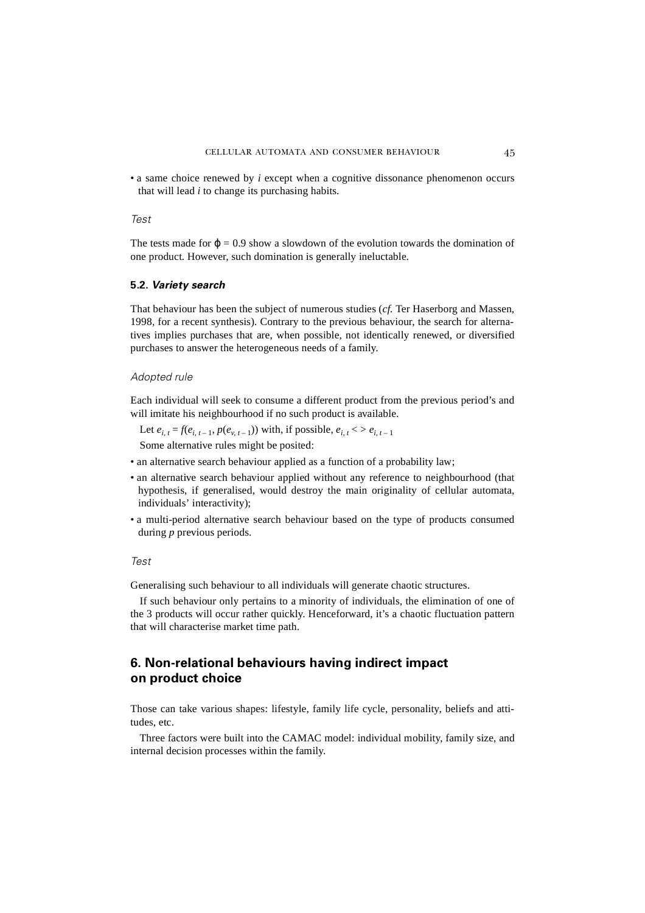• a same choice renewed by *i* except when a cognitive dissonance phenomenon occurs that will lead *i* to change its purchasing habits.

#### *Test*

The tests made for  $\phi = 0.9$  show a slowdown of the evolution towards the domination of one product. However, such domination is generally ineluctable.

#### **5.2.** *Variety search*

That behaviour has been the subject of numerous studies (*cf.* Ter Haserborg and Massen, 1998, for a recent synthesis). Contrary to the previous behaviour, the search for alternatives implies purchases that are, when possible, not identically renewed, or diversified purchases to answer the heterogeneous needs of a family.

#### *Adopted rule*

Each individual will seek to consume a different product from the previous period's and will imitate his neighbourhood if no such product is available.

Let  $e_{i,t} = f(e_{i,t-1}, p(e_{v,t-1}))$  with, if possible,  $e_{i,t}$  < >  $e_{i,t-1}$ 

Some alternative rules might be posited:

- an alternative search behaviour applied as a function of a probability law;
- an alternative search behaviour applied without any reference to neighbourhood (that hypothesis, if generalised, would destroy the main originality of cellular automata, individuals' interactivity);
- a multi-period alternative search behaviour based on the type of products consumed during *p* previous periods.

## *Test*

Generalising such behaviour to all individuals will generate chaotic structures.

If such behaviour only pertains to a minority of individuals, the elimination of one of the 3 products will occur rather quickly. Henceforward, it's a chaotic fluctuation pattern that will characterise market time path.

# **6. Non-relational behaviours having indirect impact on product choice**

Those can take various shapes: lifestyle, family life cycle, personality, beliefs and attitudes, etc.

Three factors were built into the CAMAC model: individual mobility, family size, and internal decision processes within the family.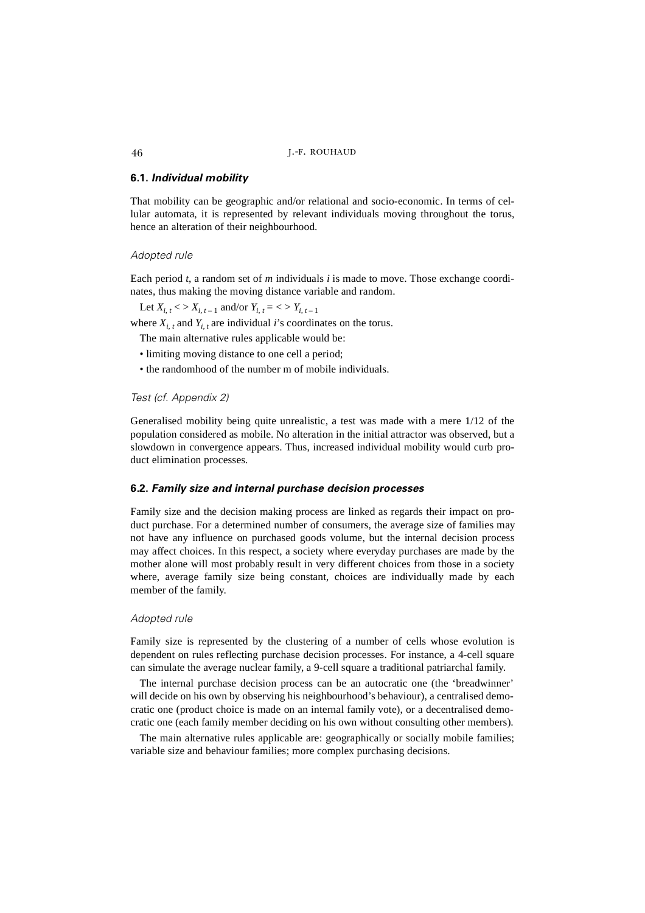## **6.1.** *Individual mobility*

That mobility can be geographic and/or relational and socio-economic. In terms of cellular automata, it is represented by relevant individuals moving throughout the torus, hence an alteration of their neighbourhood.

## *Adopted rule*

Each period *t*, a random set of *m* individuals *i* is made to move. Those exchange coordinates, thus making the moving distance variable and random.

Let  $X_{i, t}$  < >  $X_{i, t-1}$  and/or  $Y_{i, t}$  = < >  $Y_{i, t-1}$ 

where  $X_{i}$ , and  $Y_{i}$ , are individual *i*'s coordinates on the torus.

The main alternative rules applicable would be:

- limiting moving distance to one cell a period;
- the randomhood of the number m of mobile individuals.

*Test (cf. Appendix 2)*

Generalised mobility being quite unrealistic, a test was made with a mere 1/12 of the population considered as mobile. No alteration in the initial attractor was observed, but a slowdown in convergence appears. Thus, increased individual mobility would curb product elimination processes.

## **6.2.** *Family size and internal purchase decision processes*

Family size and the decision making process are linked as regards their impact on product purchase. For a determined number of consumers, the average size of families may not have any influence on purchased goods volume, but the internal decision process may affect choices. In this respect, a society where everyday purchases are made by the mother alone will most probably result in very different choices from those in a society where, average family size being constant, choices are individually made by each member of the family.

## *Adopted rule*

Family size is represented by the clustering of a number of cells whose evolution is dependent on rules reflecting purchase decision processes. For instance, a 4-cell square can simulate the average nuclear family, a 9-cell square a traditional patriarchal family.

The internal purchase decision process can be an autocratic one (the 'breadwinner' will decide on his own by observing his neighbourhood's behaviour), a centralised democratic one (product choice is made on an internal family vote), or a decentralised democratic one (each family member deciding on his own without consulting other members).

The main alternative rules applicable are: geographically or socially mobile families; variable size and behaviour families; more complex purchasing decisions.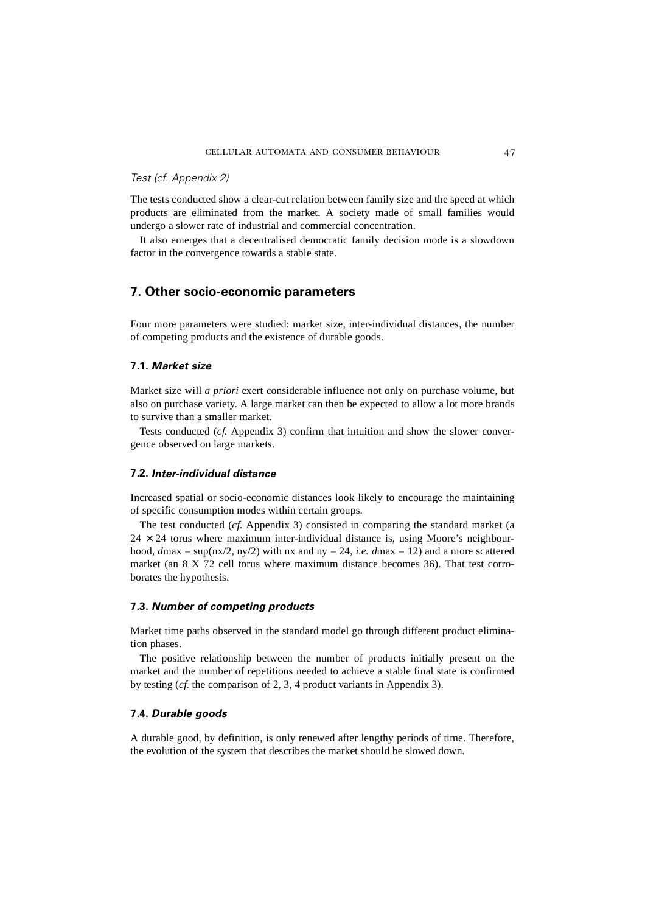#### *Test (cf. Appendix 2)*

The tests conducted show a clear-cut relation between family size and the speed at which products are eliminated from the market. A society made of small families would undergo a slower rate of industrial and commercial concentration.

It also emerges that a decentralised democratic family decision mode is a slowdown factor in the convergence towards a stable state.

# **7. Other socio-economic parameters**

Four more parameters were studied: market size, inter-individual distances, the number of competing products and the existence of durable goods.

## **7.1.** *Market size*

Market size will *a priori* exert considerable influence not only on purchase volume, but also on purchase variety. A large market can then be expected to allow a lot more brands to survive than a smaller market.

Tests conducted (*cf.* Appendix 3) confirm that intuition and show the slower convergence observed on large markets.

#### **7.2.** *Inter-individual distance*

Increased spatial or socio-economic distances look likely to encourage the maintaining of specific consumption modes within certain groups.

The test conducted (*cf.* Appendix 3) consisted in comparing the standard market (a  $24 \times 24$  torus where maximum inter-individual distance is, using Moore's neighbourhood,  $d$ max = sup(nx/2, ny/2) with nx and ny = 24, *i.e.*  $d$ max = 12) and a more scattered market (an 8 X 72 cell torus where maximum distance becomes 36). That test corroborates the hypothesis.

#### **7.3.** *Number of competing products*

Market time paths observed in the standard model go through different product elimination phases.

The positive relationship between the number of products initially present on the market and the number of repetitions needed to achieve a stable final state is confirmed by testing (*cf.* the comparison of 2, 3, 4 product variants in Appendix 3).

#### **7.4.** *Durable goods*

A durable good, by definition, is only renewed after lengthy periods of time. Therefore, the evolution of the system that describes the market should be slowed down.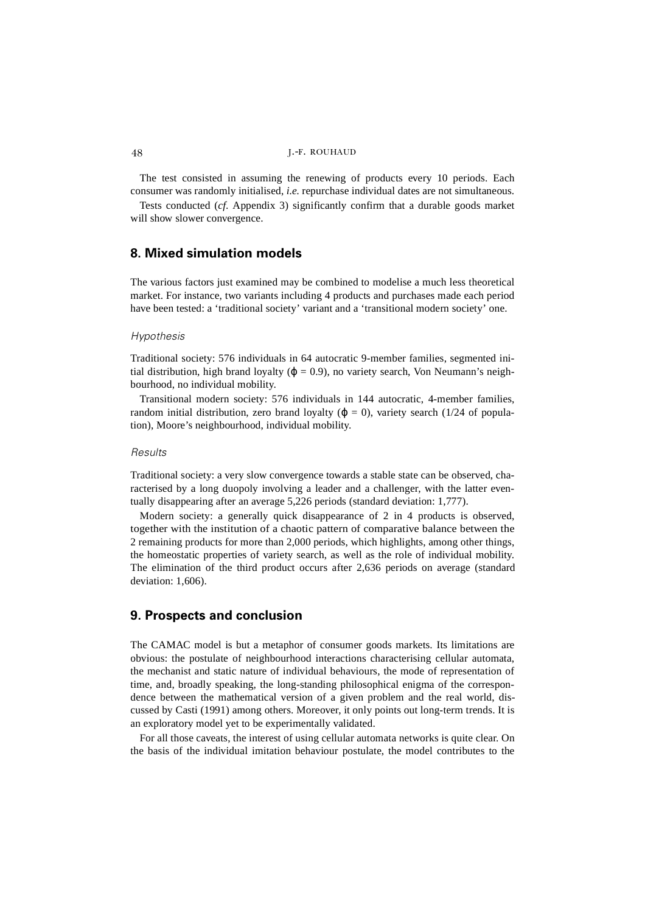The test consisted in assuming the renewing of products every 10 periods. Each consumer was randomly initialised, *i.e.* repurchase individual dates are not simultaneous.

Tests conducted (*cf*. Appendix 3) significantly confirm that a durable goods market will show slower convergence.

# **8. Mixed simulation models**

The various factors just examined may be combined to modelise a much less theoretical market. For instance, two variants including 4 products and purchases made each period have been tested: a 'traditional society' variant and a 'transitional modern society' one.

#### *Hypothesis*

Traditional society: 576 individuals in 64 autocratic 9-member families, segmented initial distribution, high brand loyalty ( $\varphi = 0.9$ ), no variety search, Von Neumann's neighbourhood, no individual mobility.

Transitional modern society: 576 individuals in 144 autocratic, 4-member families, random initial distribution, zero brand loyalty ( $\varphi = 0$ ), variety search (1/24 of population), Moore's neighbourhood, individual mobility.

### *Results*

Traditional society: a very slow convergence towards a stable state can be observed, characterised by a long duopoly involving a leader and a challenger, with the latter eventually disappearing after an average 5,226 periods (standard deviation: 1,777).

Modern society: a generally quick disappearance of 2 in 4 products is observed, together with the institution of a chaotic pattern of comparative balance between the 2 remaining products for more than 2,000 periods, which highlights, among other things, the homeostatic properties of variety search, as well as the role of individual mobility. The elimination of the third product occurs after 2,636 periods on average (standard deviation: 1,606).

## **9. Prospects and conclusion**

The CAMAC model is but a metaphor of consumer goods markets. Its limitations are obvious: the postulate of neighbourhood interactions characterising cellular automata, the mechanist and static nature of individual behaviours, the mode of representation of time, and, broadly speaking, the long-standing philosophical enigma of the correspondence between the mathematical version of a given problem and the real world, discussed by Casti (1991) among others. Moreover, it only points out long-term trends. It is an exploratory model yet to be experimentally validated.

For all those caveats, the interest of using cellular automata networks is quite clear. On the basis of the individual imitation behaviour postulate, the model contributes to the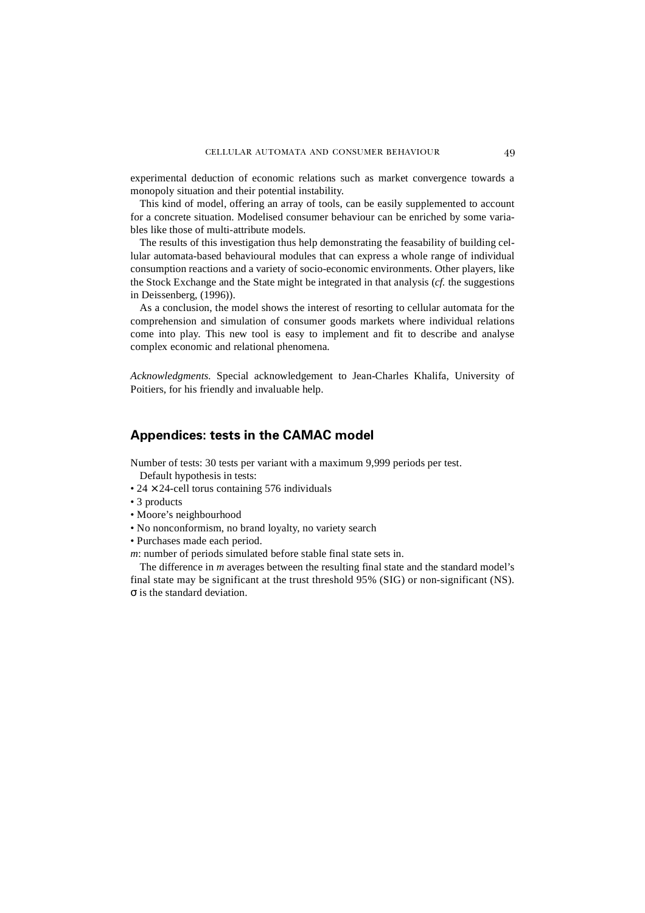experimental deduction of economic relations such as market convergence towards a monopoly situation and their potential instability.

This kind of model, offering an array of tools, can be easily supplemented to account for a concrete situation. Modelised consumer behaviour can be enriched by some variables like those of multi-attribute models.

The results of this investigation thus help demonstrating the feasability of building cellular automata-based behavioural modules that can express a whole range of individual consumption reactions and a variety of socio-economic environments. Other players, like the Stock Exchange and the State might be integrated in that analysis (*cf.* the suggestions in Deissenberg, (1996)).

As a conclusion, the model shows the interest of resorting to cellular automata for the comprehension and simulation of consumer goods markets where individual relations come into play. This new tool is easy to implement and fit to describe and analyse complex economic and relational phenomena.

*Acknowledgments.* Special acknowledgement to Jean-Charles Khalifa, University of Poitiers, for his friendly and invaluable help.

# **Appendices: tests in the CAMAC model**

Number of tests: 30 tests per variant with a maximum 9,999 periods per test.

Default hypothesis in tests:

- $24 \times 24$ -cell torus containing 576 individuals
- 3 products
- Moore's neighbourhood
- No nonconformism, no brand loyalty, no variety search
- Purchases made each period.

*m*: number of periods simulated before stable final state sets in.

The difference in *m* averages between the resulting final state and the standard model's final state may be significant at the trust threshold 95% (SIG) or non-significant (NS). σ is the standard deviation.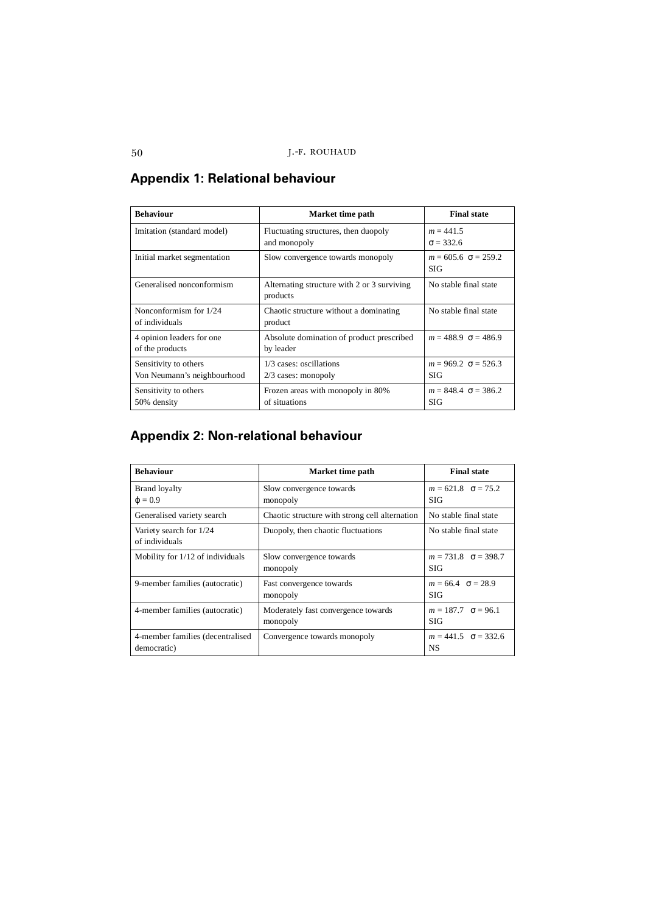| <b>Behaviour</b>                                     | Market time path                                        | <b>Final state</b>                         |
|------------------------------------------------------|---------------------------------------------------------|--------------------------------------------|
| Imitation (standard model)                           | Fluctuating structures, then duopoly<br>and monopoly    | $m = 441.5$<br>$\sigma = 332.6$            |
| Initial market segmentation                          | Slow convergence towards monopoly                       | $m = 605.6 \ \sigma = 259.2$<br><b>SIG</b> |
| Generalised nonconformism                            | Alternating structure with 2 or 3 surviving<br>products | No stable final state                      |
| Nonconformism for 1/24<br>of individuals             | Chaotic structure without a dominating<br>product       | No stable final state                      |
| 4 opinion leaders for one<br>of the products         | Absolute domination of product prescribed<br>by leader  | $m = 488.9 \space \sigma = 486.9$          |
| Sensitivity to others<br>Von Neumann's neighbourhood | 1/3 cases: oscillations<br>$2/3$ cases: monopoly        | $m = 969.2 \ \sigma = 526.3$<br>SIG        |
| Sensitivity to others<br>50% density                 | Frozen areas with monopoly in 80%<br>of situations      | $m = 848.4 \ \sigma = 386.2$<br><b>SIG</b> |

# **Appendix 1: Relational behaviour**

# **Appendix 2: Non-relational behaviour**

| <b>Behaviour</b>                                | Market time path                                | <b>Final state</b>                            |
|-------------------------------------------------|-------------------------------------------------|-----------------------------------------------|
| <b>Brand loyalty</b><br>$\varphi = 0.9$         | Slow convergence towards<br>monopoly            | $m = 621.8$ $\sigma = 75.2$<br><b>SIG</b>     |
| Generalised variety search                      | Chaotic structure with strong cell alternation  | No stable final state                         |
| Variety search for 1/24<br>of individuals       | Duopoly, then chaotic fluctuations              | No stable final state                         |
| Mobility for 1/12 of individuals                | Slow convergence towards<br>monopoly            | $m = 731.8 \quad \sigma = 398.7$<br>SIG       |
| 9-member families (autocratic)                  | Fast convergence towards<br>monopoly            | $m = 66.4 \quad \sigma = 28.9$<br><b>SIG</b>  |
| 4-member families (autocratic)                  | Moderately fast convergence towards<br>monopoly | $m = 187.7 \quad \sigma = 96.1$<br><b>SIG</b> |
| 4-member families (decentralised<br>democratic) | Convergence towards monopoly                    | $m = 441.5 \quad \sigma = 332.6$<br>NS        |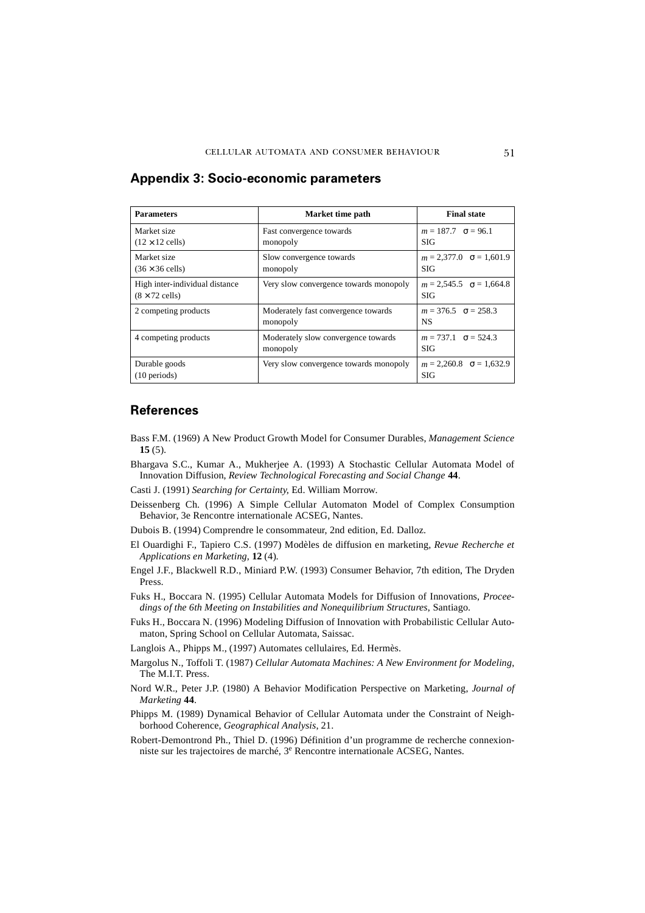| <b>Parameters</b>                                       | Market time path                                | <b>Final state</b>                            |
|---------------------------------------------------------|-------------------------------------------------|-----------------------------------------------|
| Market size<br>$(12 \times 12$ cells)                   | Fast convergence towards<br>monopoly            | $m = 187.7 \quad \sigma = 96.1$<br>SIG        |
| Market size<br>$(36 \times 36$ cells)                   | Slow convergence towards<br>monopoly            | $m = 2,377.0 \quad \sigma = 1,601.9$<br>SIG   |
| High inter-individual distance<br>$(8 \times 72$ cells) | Very slow convergence towards monopoly          | $m = 2,545.5$ $\sigma = 1,664.8$<br>SIG       |
| 2 competing products                                    | Moderately fast convergence towards<br>monopoly | $m = 376.5 \quad \sigma = 258.3$<br><b>NS</b> |
| 4 competing products                                    | Moderately slow convergence towards<br>monopoly | $m = 737.1 \quad \sigma = 524.3$<br>SIG       |
| Durable goods<br>$(10 \text{ periods})$                 | Very slow convergence towards monopoly          | $m = 2,260.8$ $\sigma = 1,632.9$<br>SIG       |

# **Appendix 3: Socio-economic parameters**

# **References**

- Bass F.M. (1969) A New Product Growth Model for Consumer Durables, *Management Science* **15** (5).
- Bhargava S.C., Kumar A., Mukherjee A. (1993) A Stochastic Cellular Automata Model of Innovation Diffusion, *Review Technological Forecasting and Social Change* **44**.
- Casti J. (1991) *Searching for Certainty*, Ed. William Morrow.
- Deissenberg Ch. (1996) A Simple Cellular Automaton Model of Complex Consumption Behavior, 3e Rencontre internationale ACSEG, Nantes.
- Dubois B. (1994) Comprendre le consommateur, 2nd edition, Ed. Dalloz.
- El Ouardighi F., Tapiero C.S. (1997) Modèles de diffusion en marketing, *Revue Recherche et Applications en Marketing*, **12** (4).
- Engel J.F., Blackwell R.D., Miniard P.W. (1993) Consumer Behavior, 7th edition, The Dryden Press.
- Fuks H., Boccara N. (1995) Cellular Automata Models for Diffusion of Innovations, *Proceedings of the 6th Meeting on Instabilities and Nonequilibrium Structures*, Santiago.
- Fuks H., Boccara N. (1996) Modeling Diffusion of Innovation with Probabilistic Cellular Automaton, Spring School on Cellular Automata, Saissac.
- Langlois A., Phipps M., (1997) Automates cellulaires, Ed. Hermès.
- Margolus N., Toffoli T. (1987) *Cellular Automata Machines: A New Environment for Modeling*, The M.I.T. Press.
- Nord W.R., Peter J.P. (1980) A Behavior Modification Perspective on Marketing, *Journal of Marketing* **44**.
- Phipps M. (1989) Dynamical Behavior of Cellular Automata under the Constraint of Neighborhood Coherence, *Geographical Analysis*, 21.
- Robert-Demontrond Ph., Thiel D. (1996) Définition d'un programme de recherche connexionniste sur les trajectoires de marché, 3<sup>e</sup> Rencontre internationale ACSEG, Nantes.